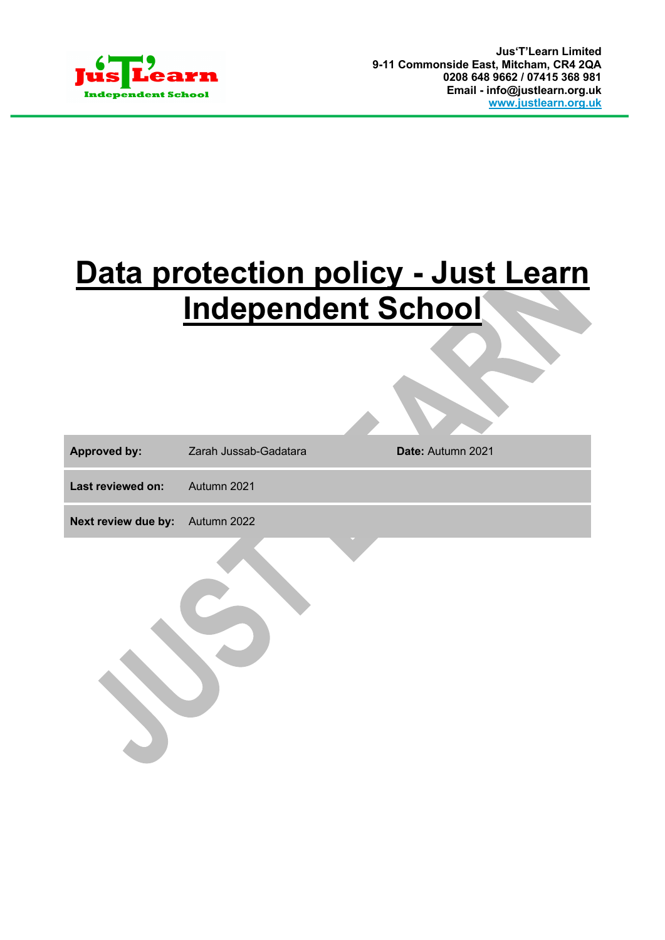

# **Data protection policy - Just Learn Independent School**

| <b>Approved by:</b> | Zarah Jussab-Gadatara | Date: Autumn 2021 |
|---------------------|-----------------------|-------------------|
| Last reviewed on:   | Autumn 2021           |                   |
| Next review due by: | Autumn 2022           |                   |
|                     |                       |                   |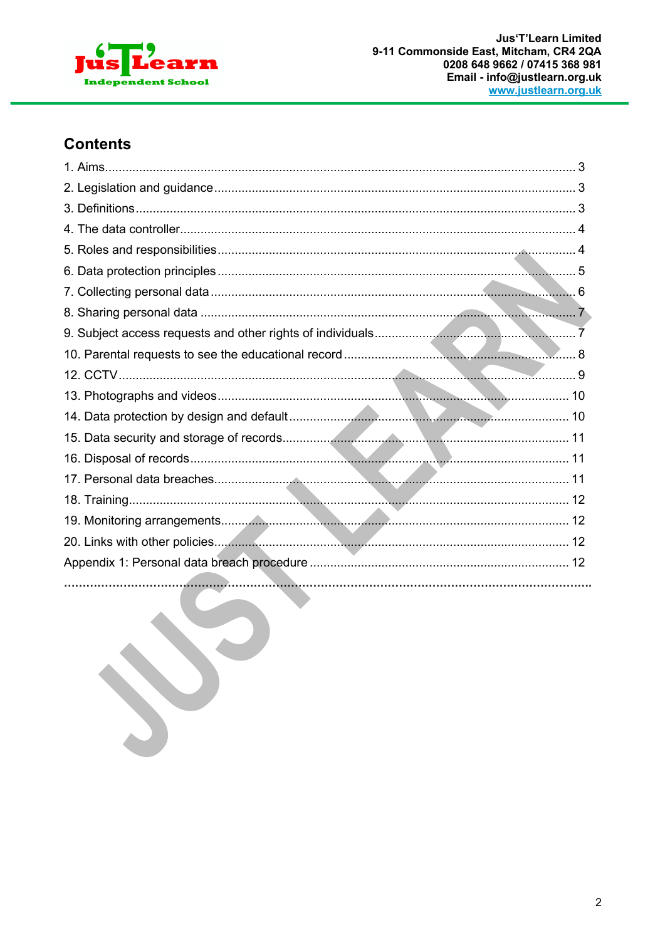

# **Contents**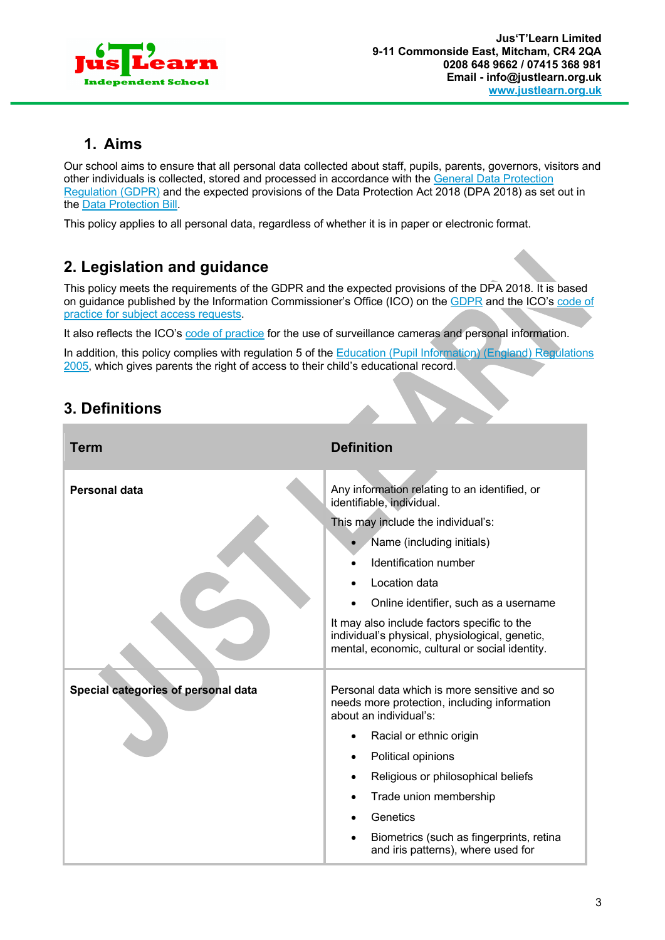

# **1. Aims**

Our school aims to ensure that all personal data collected about staff, pupils, parents, governors, visitors and other individuals is collected, stored and processed in accordance with the General Data Protection Regulation (GDPR) and the expected provisions of the Data Protection Act 2018 (DPA 2018) as set out in the Data Protection Bill.

This policy applies to all personal data, regardless of whether it is in paper or electronic format.

# **2. Legislation and guidance**

This policy meets the requirements of the GDPR and the expected provisions of the DPA 2018. It is based on guidance published by the Information Commissioner's Office (ICO) on the GDPR and the ICO's code of practice for subject access requests.

It also reflects the ICO's code of practice for the use of surveillance cameras and personal information.

In addition, this policy complies with regulation 5 of the Education (Pupil Information) (England) Regulations 2005, which gives parents the right of access to their child's educational record.

# **3. Definitions**

| <b>Term</b>                         | <b>Definition</b>                                                                                                                               |
|-------------------------------------|-------------------------------------------------------------------------------------------------------------------------------------------------|
| Personal data                       | Any information relating to an identified, or<br>identifiable, individual.                                                                      |
|                                     | This may include the individual's:                                                                                                              |
|                                     | Name (including initials)                                                                                                                       |
|                                     | Identification number                                                                                                                           |
|                                     | Location data                                                                                                                                   |
|                                     | Online identifier, such as a username                                                                                                           |
|                                     | It may also include factors specific to the<br>individual's physical, physiological, genetic,<br>mental, economic, cultural or social identity. |
| Special categories of personal data | Personal data which is more sensitive and so<br>needs more protection, including information<br>about an individual's:                          |
|                                     | Racial or ethnic origin                                                                                                                         |
|                                     | Political opinions<br>٠                                                                                                                         |
|                                     | Religious or philosophical beliefs<br>$\bullet$                                                                                                 |
|                                     | Trade union membership                                                                                                                          |
|                                     | Genetics                                                                                                                                        |
|                                     | Biometrics (such as fingerprints, retina<br>$\bullet$<br>and iris patterns), where used for                                                     |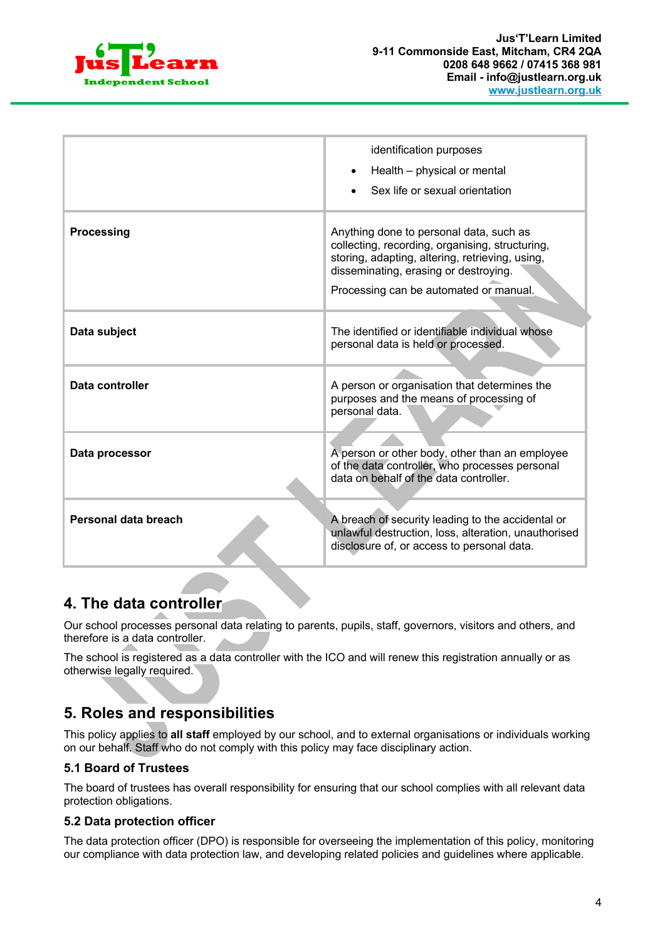

|                      | identification purposes                                                                                                                                                                                                          |
|----------------------|----------------------------------------------------------------------------------------------------------------------------------------------------------------------------------------------------------------------------------|
|                      | Health – physical or mental                                                                                                                                                                                                      |
|                      | Sex life or sexual orientation                                                                                                                                                                                                   |
| <b>Processing</b>    | Anything done to personal data, such as<br>collecting, recording, organising, structuring,<br>storing, adapting, altering, retrieving, using,<br>disseminating, erasing or destroying.<br>Processing can be automated or manual. |
| Data subject         | The identified or identifiable individual whose<br>personal data is held or processed.                                                                                                                                           |
| Data controller      | A person or organisation that determines the<br>purposes and the means of processing of<br>personal data.                                                                                                                        |
| Data processor       | A person or other body, other than an employee<br>of the data controller, who processes personal<br>data on behalf of the data controller.                                                                                       |
| Personal data breach | A breach of security leading to the accidental or<br>unlawful destruction, loss, alteration, unauthorised<br>disclosure of, or access to personal data.                                                                          |

# **4. The data controller**

Our school processes personal data relating to parents, pupils, staff, governors, visitors and others, and therefore is a data controller.

The school is registered as a data controller with the ICO and will renew this registration annually or as otherwise legally required.

# **5. Roles and responsibilities**

This policy applies to **all staff** employed by our school, and to external organisations or individuals working on our behalf. Staff who do not comply with this policy may face disciplinary action.

#### **5.1 Board of Trustees**

The board of trustees has overall responsibility for ensuring that our school complies with all relevant data protection obligations.

#### **5.2 Data protection officer**

The data protection officer (DPO) is responsible for overseeing the implementation of this policy, monitoring our compliance with data protection law, and developing related policies and guidelines where applicable.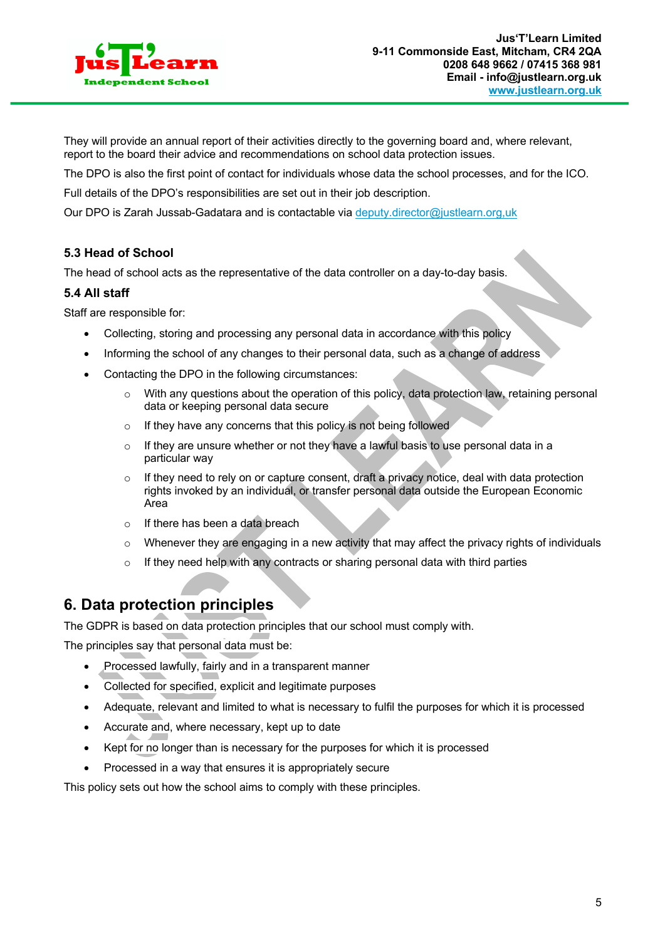

They will provide an annual report of their activities directly to the governing board and, where relevant, report to the board their advice and recommendations on school data protection issues.

The DPO is also the first point of contact for individuals whose data the school processes, and for the ICO.

Full details of the DPO's responsibilities are set out in their job description.

Our DPO is Zarah Jussab-Gadatara and is contactable via deputy.director@justlearn.org,uk

#### **5.3 Head of School**

The head of school acts as the representative of the data controller on a day-to-day basis.

#### **5.4 All staff**

Staff are responsible for:

- Collecting, storing and processing any personal data in accordance with this policy
- Informing the school of any changes to their personal data, such as a change of address
- Contacting the DPO in the following circumstances:
	- $\circ$  With any questions about the operation of this policy, data protection law, retaining personal data or keeping personal data secure
	- o If they have any concerns that this policy is not being followed
	- o If they are unsure whether or not they have a lawful basis to use personal data in a particular way
	- o If they need to rely on or capture consent, draft a privacy notice, deal with data protection rights invoked by an individual, or transfer personal data outside the European Economic Area
	- o If there has been a data breach
	- o Whenever they are engaging in a new activity that may affect the privacy rights of individuals
	- o If they need help with any contracts or sharing personal data with third parties

### **6. Data protection principles**

The GDPR is based on data protection principles that our school must comply with.

The principles say that personal data must be:

- Processed lawfully, fairly and in a transparent manner
- Collected for specified, explicit and legitimate purposes
- Adequate, relevant and limited to what is necessary to fulfil the purposes for which it is processed
- Accurate and, where necessary, kept up to date
- Kept for no longer than is necessary for the purposes for which it is processed
- Processed in a way that ensures it is appropriately secure

This policy sets out how the school aims to comply with these principles.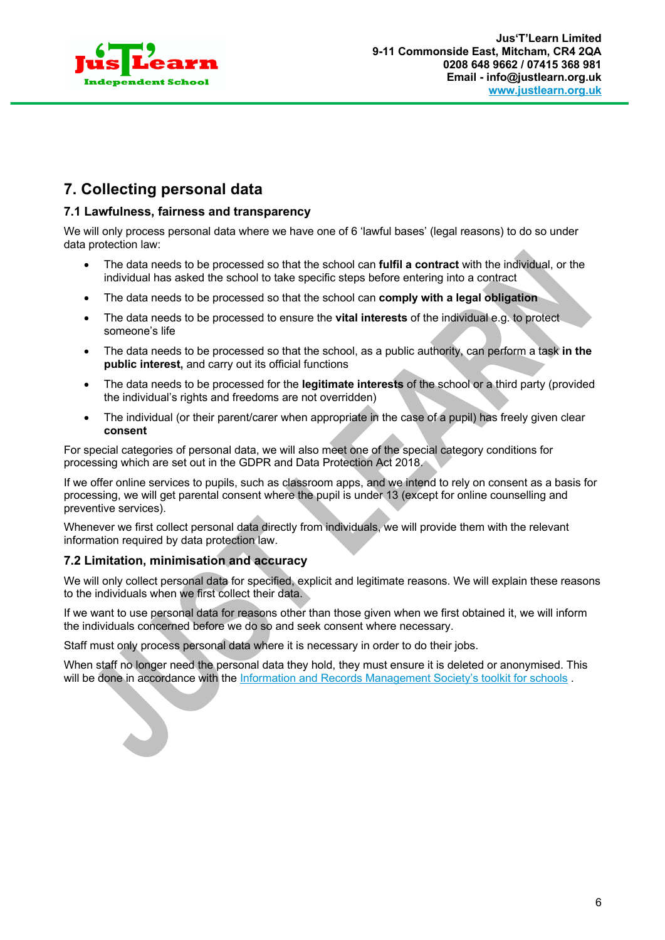

# **7. Collecting personal data**

#### **7.1 Lawfulness, fairness and transparency**

We will only process personal data where we have one of 6 'lawful bases' (legal reasons) to do so under data protection law:

- The data needs to be processed so that the school can **fulfil a contract** with the individual, or the individual has asked the school to take specific steps before entering into a contract
- The data needs to be processed so that the school can **comply with a legal obligation**
- The data needs to be processed to ensure the **vital interests** of the individual e.g. to protect someone's life
- The data needs to be processed so that the school, as a public authority, can perform a task **in the public interest,** and carry out its official functions
- The data needs to be processed for the **legitimate interests** of the school or a third party (provided the individual's rights and freedoms are not overridden)
- The individual (or their parent/carer when appropriate in the case of a pupil) has freely given clear **consent**

For special categories of personal data, we will also meet one of the special category conditions for processing which are set out in the GDPR and Data Protection Act 2018.

If we offer online services to pupils, such as classroom apps, and we intend to rely on consent as a basis for processing, we will get parental consent where the pupil is under 13 (except for online counselling and preventive services).

Whenever we first collect personal data directly from individuals, we will provide them with the relevant information required by data protection law.

#### **7.2 Limitation, minimisation and accuracy**

We will only collect personal data for specified, explicit and legitimate reasons. We will explain these reasons to the individuals when we first collect their data.

If we want to use personal data for reasons other than those given when we first obtained it, we will inform the individuals concerned before we do so and seek consent where necessary.

Staff must only process personal data where it is necessary in order to do their jobs.

When staff no longer need the personal data they hold, they must ensure it is deleted or anonymised. This will be done in accordance with the Information and Records Management Society's toolkit for schools.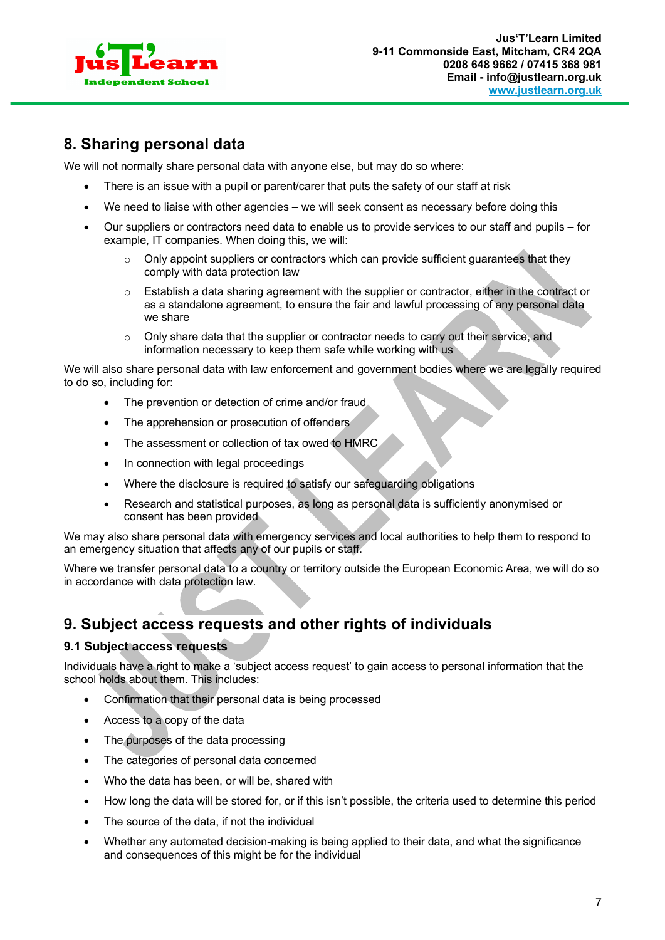

## **8. Sharing personal data**

We will not normally share personal data with anyone else, but may do so where:

- There is an issue with a pupil or parent/carer that puts the safety of our staff at risk
- We need to liaise with other agencies we will seek consent as necessary before doing this
- Our suppliers or contractors need data to enable us to provide services to our staff and pupils for example, IT companies. When doing this, we will:
	- $\circ$  Only appoint suppliers or contractors which can provide sufficient guarantees that they comply with data protection law
	- $\circ$  Establish a data sharing agreement with the supplier or contractor, either in the contract or as a standalone agreement, to ensure the fair and lawful processing of any personal data we share
	- $\circ$  Only share data that the supplier or contractor needs to carry out their service, and information necessary to keep them safe while working with us

We will also share personal data with law enforcement and government bodies where we are legally required to do so, including for:

- The prevention or detection of crime and/or fraud
- The apprehension or prosecution of offenders
- The assessment or collection of tax owed to HMRC
- In connection with legal proceedings
- Where the disclosure is required to satisfy our safeguarding obligations
- Research and statistical purposes, as long as personal data is sufficiently anonymised or consent has been provided

We may also share personal data with emergency services and local authorities to help them to respond to an emergency situation that affects any of our pupils or staff.

Where we transfer personal data to a country or territory outside the European Economic Area, we will do so in accordance with data protection law.

### **9. Subject access requests and other rights of individuals**

#### **9.1 Subject access requests**

Individuals have a right to make a 'subject access request' to gain access to personal information that the school holds about them. This includes:

- Confirmation that their personal data is being processed
- Access to a copy of the data
- The purposes of the data processing
- The categories of personal data concerned
- Who the data has been, or will be, shared with
- How long the data will be stored for, or if this isn't possible, the criteria used to determine this period
- The source of the data, if not the individual
- Whether any automated decision-making is being applied to their data, and what the significance and consequences of this might be for the individual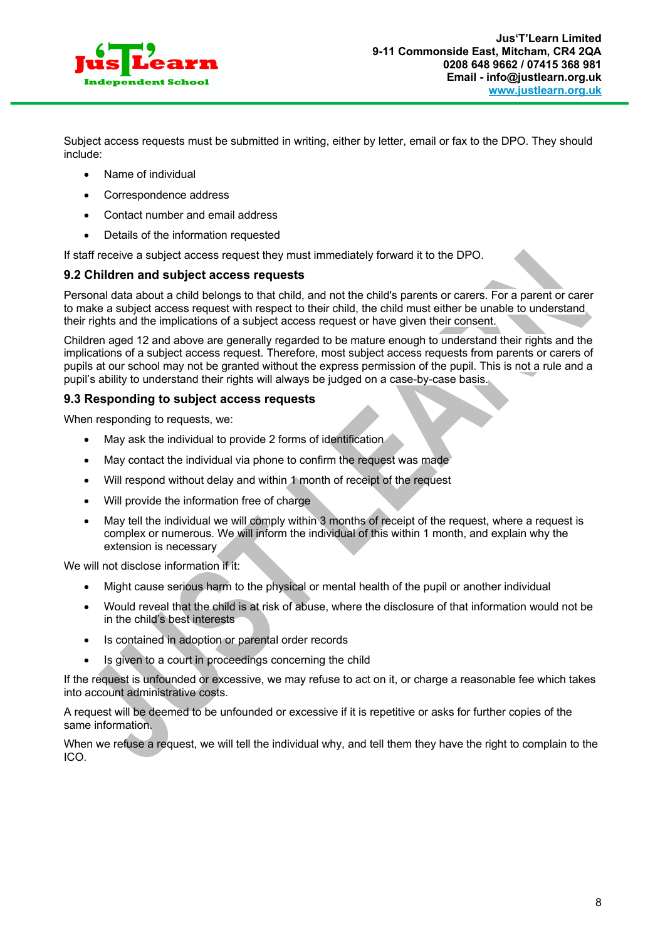

Subject access requests must be submitted in writing, either by letter, email or fax to the DPO. They should include:

- Name of individual
- Correspondence address
- Contact number and email address
- Details of the information requested

If staff receive a subject access request they must immediately forward it to the DPO.

#### **9.2 Children and subject access requests**

Personal data about a child belongs to that child, and not the child's parents or carers. For a parent or carer to make a subject access request with respect to their child, the child must either be unable to understand their rights and the implications of a subject access request or have given their consent.

Children aged 12 and above are generally regarded to be mature enough to understand their rights and the implications of a subject access request. Therefore, most subject access requests from parents or carers of pupils at our school may not be granted without the express permission of the pupil. This is not a rule and a pupil's ability to understand their rights will always be judged on a case-by-case basis.

#### **9.3 Responding to subject access requests**

When responding to requests, we:

- May ask the individual to provide 2 forms of identification
- May contact the individual via phone to confirm the request was made
- Will respond without delay and within 1 month of receipt of the request
- Will provide the information free of charge
- May tell the individual we will comply within 3 months of receipt of the request, where a request is complex or numerous. We will inform the individual of this within 1 month, and explain why the extension is necessary

We will not disclose information if it:

- Might cause serious harm to the physical or mental health of the pupil or another individual
- Would reveal that the child is at risk of abuse, where the disclosure of that information would not be in the child's best interests
- Is contained in adoption or parental order records
- Is given to a court in proceedings concerning the child

If the request is unfounded or excessive, we may refuse to act on it, or charge a reasonable fee which takes into account administrative costs.

A request will be deemed to be unfounded or excessive if it is repetitive or asks for further copies of the same information.

When we refuse a request, we will tell the individual why, and tell them they have the right to complain to the ICO.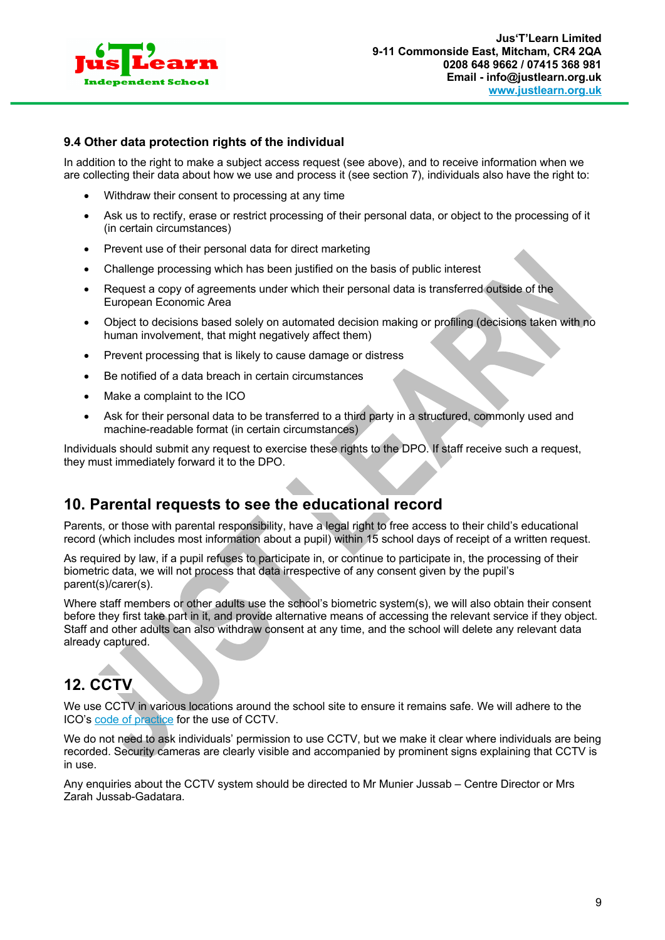

#### **9.4 Other data protection rights of the individual**

In addition to the right to make a subject access request (see above), and to receive information when we are collecting their data about how we use and process it (see section 7), individuals also have the right to:

- Withdraw their consent to processing at any time
- Ask us to rectify, erase or restrict processing of their personal data, or object to the processing of it (in certain circumstances)
- Prevent use of their personal data for direct marketing
- Challenge processing which has been justified on the basis of public interest
- Request a copy of agreements under which their personal data is transferred outside of the European Economic Area
- Object to decisions based solely on automated decision making or profiling (decisions taken with no human involvement, that might negatively affect them)
- Prevent processing that is likely to cause damage or distress
- Be notified of a data breach in certain circumstances
- Make a complaint to the ICO
- Ask for their personal data to be transferred to a third party in a structured, commonly used and machine-readable format (in certain circumstances)

Individuals should submit any request to exercise these rights to the DPO. If staff receive such a request, they must immediately forward it to the DPO.

### **10. Parental requests to see the educational record**

Parents, or those with parental responsibility, have a legal right to free access to their child's educational record (which includes most information about a pupil) within 15 school days of receipt of a written request.

As required by law, if a pupil refuses to participate in, or continue to participate in, the processing of their biometric data, we will not process that data irrespective of any consent given by the pupil's parent(s)/carer(s).

Where staff members or other adults use the school's biometric system(s), we will also obtain their consent before they first take part in it, and provide alternative means of accessing the relevant service if they object. Staff and other adults can also withdraw consent at any time, and the school will delete any relevant data already captured.

# **12. CCTV**

We use CCTV in various locations around the school site to ensure it remains safe. We will adhere to the ICO's code of practice for the use of CCTV.

We do not need to ask individuals' permission to use CCTV, but we make it clear where individuals are being recorded. Security cameras are clearly visible and accompanied by prominent signs explaining that CCTV is in use.

Any enquiries about the CCTV system should be directed to Mr Munier Jussab – Centre Director or Mrs Zarah Jussab-Gadatara.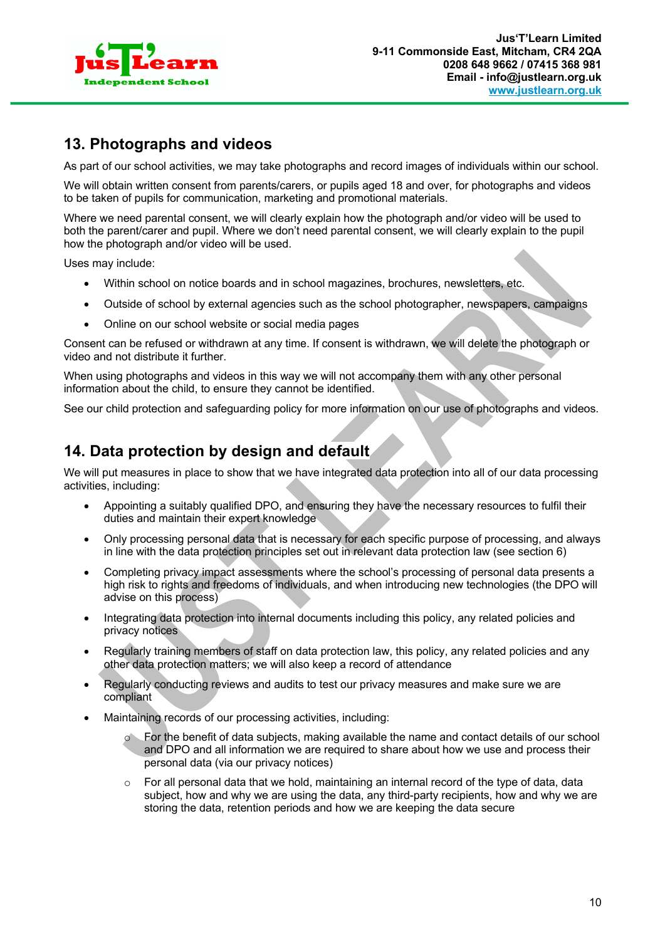

### **13. Photographs and videos**

As part of our school activities, we may take photographs and record images of individuals within our school.

We will obtain written consent from parents/carers, or pupils aged 18 and over, for photographs and videos to be taken of pupils for communication, marketing and promotional materials.

Where we need parental consent, we will clearly explain how the photograph and/or video will be used to both the parent/carer and pupil. Where we don't need parental consent, we will clearly explain to the pupil how the photograph and/or video will be used.

Uses may include:

- Within school on notice boards and in school magazines, brochures, newsletters, etc.
- Outside of school by external agencies such as the school photographer, newspapers, campaigns
- Online on our school website or social media pages

Consent can be refused or withdrawn at any time. If consent is withdrawn, we will delete the photograph or video and not distribute it further.

When using photographs and videos in this way we will not accompany them with any other personal information about the child, to ensure they cannot be identified.

See our child protection and safeguarding policy for more information on our use of photographs and videos.

## **14. Data protection by design and default**

We will put measures in place to show that we have integrated data protection into all of our data processing activities, including:

- Appointing a suitably qualified DPO, and ensuring they have the necessary resources to fulfil their duties and maintain their expert knowledge
- Only processing personal data that is necessary for each specific purpose of processing, and always in line with the data protection principles set out in relevant data protection law (see section 6)
- Completing privacy impact assessments where the school's processing of personal data presents a high risk to rights and freedoms of individuals, and when introducing new technologies (the DPO will advise on this process)
- Integrating data protection into internal documents including this policy, any related policies and privacy notices
- Regularly training members of staff on data protection law, this policy, any related policies and any other data protection matters; we will also keep a record of attendance
- Regularly conducting reviews and audits to test our privacy measures and make sure we are compliant
- Maintaining records of our processing activities, including:
	- For the benefit of data subjects, making available the name and contact details of our school and DPO and all information we are required to share about how we use and process their personal data (via our privacy notices)
	- $\circ$  For all personal data that we hold, maintaining an internal record of the type of data, data subject, how and why we are using the data, any third-party recipients, how and why we are storing the data, retention periods and how we are keeping the data secure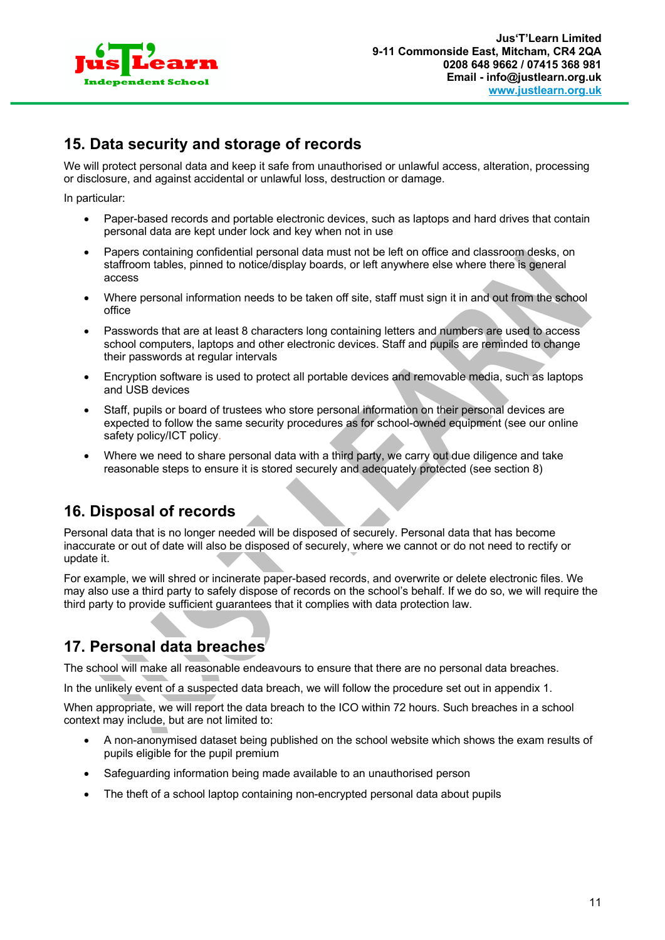

## **15. Data security and storage of records**

We will protect personal data and keep it safe from unauthorised or unlawful access, alteration, processing or disclosure, and against accidental or unlawful loss, destruction or damage.

In particular:

- Paper-based records and portable electronic devices, such as laptops and hard drives that contain personal data are kept under lock and key when not in use
- Papers containing confidential personal data must not be left on office and classroom desks, on staffroom tables, pinned to notice/display boards, or left anywhere else where there is general access
- Where personal information needs to be taken off site, staff must sign it in and out from the school office
- Passwords that are at least 8 characters long containing letters and numbers are used to access school computers, laptops and other electronic devices. Staff and pupils are reminded to change their passwords at regular intervals
- Encryption software is used to protect all portable devices and removable media, such as laptops and USB devices
- Staff, pupils or board of trustees who store personal information on their personal devices are expected to follow the same security procedures as for school-owned equipment (see our online safety policy/ICT policy.
- Where we need to share personal data with a third party, we carry out due diligence and take reasonable steps to ensure it is stored securely and adequately protected (see section 8)

# **16. Disposal of records**

Personal data that is no longer needed will be disposed of securely. Personal data that has become inaccurate or out of date will also be disposed of securely, where we cannot or do not need to rectify or update it.

For example, we will shred or incinerate paper-based records, and overwrite or delete electronic files. We may also use a third party to safely dispose of records on the school's behalf. If we do so, we will require the third party to provide sufficient guarantees that it complies with data protection law.

# **17. Personal data breaches**

The school will make all reasonable endeavours to ensure that there are no personal data breaches.

In the unlikely event of a suspected data breach, we will follow the procedure set out in appendix 1.

When appropriate, we will report the data breach to the ICO within 72 hours. Such breaches in a school context may include, but are not limited to:

- A non-anonymised dataset being published on the school website which shows the exam results of pupils eligible for the pupil premium
- Safeguarding information being made available to an unauthorised person
- The theft of a school laptop containing non-encrypted personal data about pupils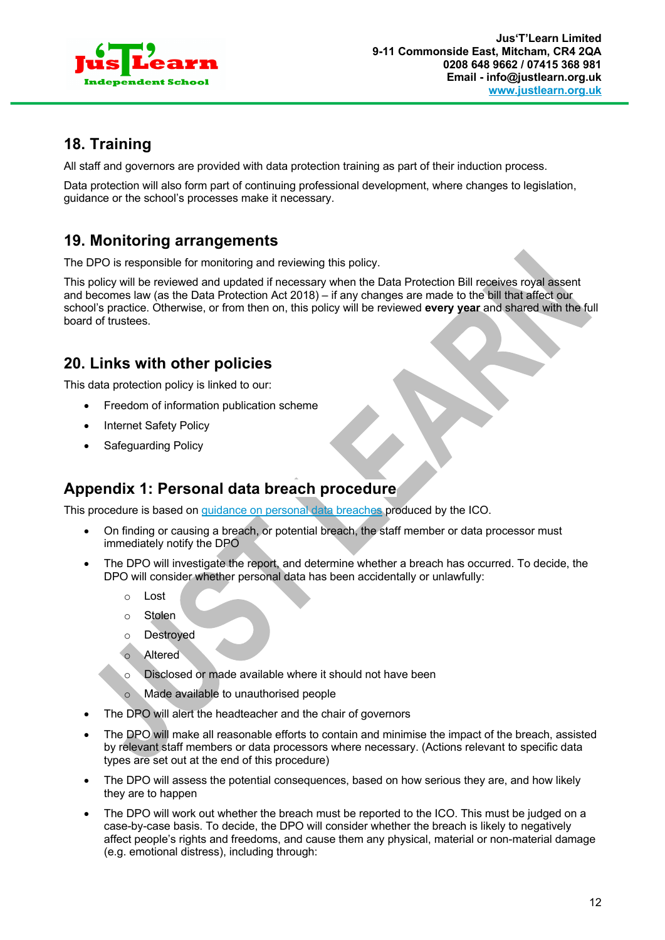

# **18. Training**

All staff and governors are provided with data protection training as part of their induction process.

Data protection will also form part of continuing professional development, where changes to legislation, guidance or the school's processes make it necessary.

# **19. Monitoring arrangements**

The DPO is responsible for monitoring and reviewing this policy.

This policy will be reviewed and updated if necessary when the Data Protection Bill receives royal assent and becomes law (as the Data Protection Act 2018) – if any changes are made to the bill that affect our school's practice. Otherwise, or from then on, this policy will be reviewed **every year** and shared with the full board of trustees.

# **20. Links with other policies**

This data protection policy is linked to our:

- Freedom of information publication scheme
- **Internet Safety Policy**
- Safeguarding Policy

# **Appendix 1: Personal data breach procedure**

This procedure is based on guidance on personal data breaches produced by the ICO.

- On finding or causing a breach, or potential breach, the staff member or data processor must immediately notify the DPO
- The DPO will investigate the report, and determine whether a breach has occurred. To decide, the DPO will consider whether personal data has been accidentally or unlawfully:
	- $\sim$  Lost
	- o Stolen
	- o Destroyed
	- o Altered
	- o Disclosed or made available where it should not have been
		- Made available to unauthorised people
- The DPO will alert the headteacher and the chair of governors
- The DPO will make all reasonable efforts to contain and minimise the impact of the breach, assisted by relevant staff members or data processors where necessary. (Actions relevant to specific data types are set out at the end of this procedure)
- The DPO will assess the potential consequences, based on how serious they are, and how likely they are to happen
- The DPO will work out whether the breach must be reported to the ICO. This must be judged on a case-by-case basis. To decide, the DPO will consider whether the breach is likely to negatively affect people's rights and freedoms, and cause them any physical, material or non-material damage (e.g. emotional distress), including through: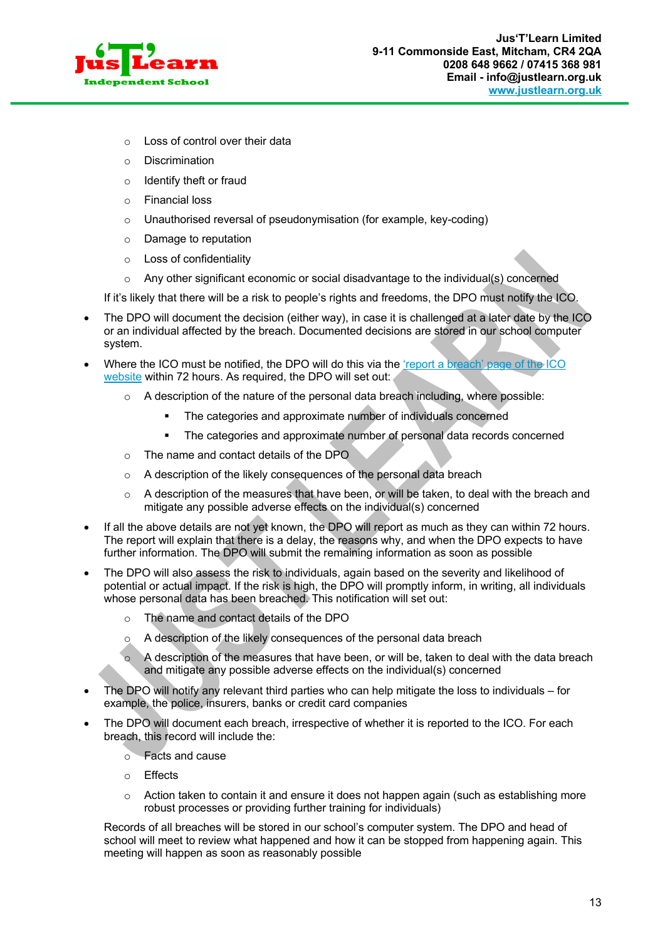

- o Loss of control over their data
- o Discrimination
- o Identify theft or fraud
- o Financial loss
- o Unauthorised reversal of pseudonymisation (for example, key-coding)
- o Damage to reputation
- o Loss of confidentiality
- $\circ$  Any other significant economic or social disadvantage to the individual(s) concerned

If it's likely that there will be a risk to people's rights and freedoms, the DPO must notify the ICO.

- The DPO will document the decision (either way), in case it is challenged at a later date by the ICO or an individual affected by the breach. Documented decisions are stored in our school computer system.
- Where the ICO must be notified, the DPO will do this via the 'report a breach' page of the ICO website within 72 hours. As required, the DPO will set out:
	- o A description of the nature of the personal data breach including, where possible:
		- The categories and approximate number of individuals concerned
		- The categories and approximate number of personal data records concerned
	- o The name and contact details of the DPO
	- o A description of the likely consequences of the personal data breach
	- o A description of the measures that have been, or will be taken, to deal with the breach and mitigate any possible adverse effects on the individual(s) concerned
- If all the above details are not vet known, the DPO will report as much as they can within 72 hours. The report will explain that there is a delay, the reasons why, and when the DPO expects to have further information. The DPO will submit the remaining information as soon as possible
- The DPO will also assess the risk to individuals, again based on the severity and likelihood of potential or actual impact. If the risk is high, the DPO will promptly inform, in writing, all individuals whose personal data has been breached. This notification will set out:
	- o The name and contact details of the DPO
	- o A description of the likely consequences of the personal data breach
		- A description of the measures that have been, or will be, taken to deal with the data breach and mitigate any possible adverse effects on the individual(s) concerned
- The DPO will notify any relevant third parties who can help mitigate the loss to individuals for example, the police, insurers, banks or credit card companies
- The DPO will document each breach, irrespective of whether it is reported to the ICO. For each breach, this record will include the:
	- o Facts and cause
	- o Effects
	- Action taken to contain it and ensure it does not happen again (such as establishing more robust processes or providing further training for individuals)

Records of all breaches will be stored in our school's computer system. The DPO and head of school will meet to review what happened and how it can be stopped from happening again. This meeting will happen as soon as reasonably possible